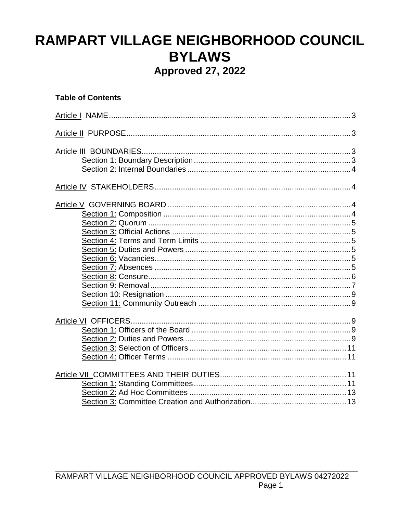# RAMPART VILLAGE NEIGHBORHOOD COUNCIL **BYLAWS Approved 27, 2022**

## **Table of Contents**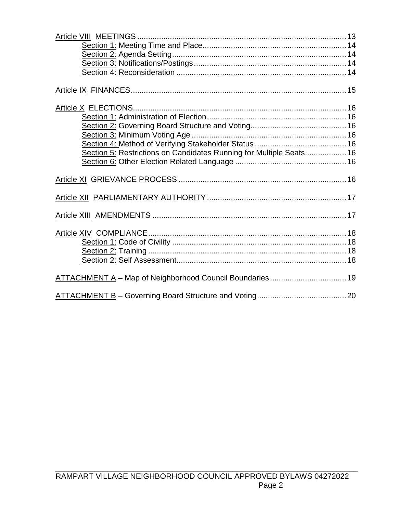| Section 5: Restrictions on Candidates Running for Multiple Seats 16 |  |
|---------------------------------------------------------------------|--|
|                                                                     |  |
|                                                                     |  |
|                                                                     |  |
|                                                                     |  |
|                                                                     |  |
|                                                                     |  |
|                                                                     |  |
|                                                                     |  |
| ATTACHMENT A - Map of Neighborhood Council Boundaries 19            |  |
|                                                                     |  |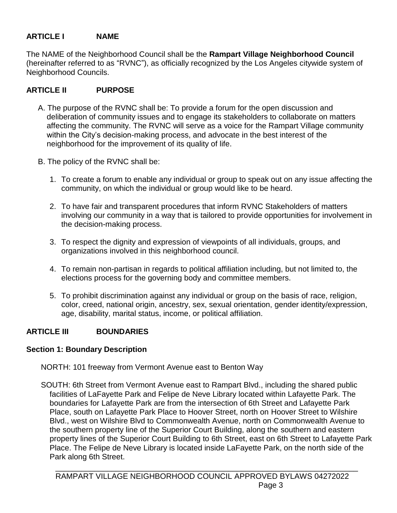## **ARTICLE I NAME**

The NAME of the Neighborhood Council shall be the **Rampart Village Neighborhood Council**  (hereinafter referred to as "RVNC"), as officially recognized by the Los Angeles citywide system of Neighborhood Councils.

## **ARTICLE II PURPOSE**

- A. The purpose of the RVNC shall be: To provide a forum for the open discussion and deliberation of community issues and to engage its stakeholders to collaborate on matters affecting the community. The RVNC will serve as a voice for the Rampart Village community within the City's decision-making process, and advocate in the best interest of the neighborhood for the improvement of its quality of life.
- B. The policy of the RVNC shall be:
	- 1. To create a forum to enable any individual or group to speak out on any issue affecting the community, on which the individual or group would like to be heard.
	- 2. To have fair and transparent procedures that inform RVNC Stakeholders of matters involving our community in a way that is tailored to provide opportunities for involvement in the decision-making process.
	- 3. To respect the dignity and expression of viewpoints of all individuals, groups, and organizations involved in this neighborhood council.
	- 4. To remain non-partisan in regards to political affiliation including, but not limited to, the elections process for the governing body and committee members.
	- 5. To prohibit discrimination against any individual or group on the basis of race, religion, color, creed, national origin, ancestry, sex, sexual orientation, gender identity/expression, age, disability, marital status, income, or political affiliation.

## **ARTICLE III BOUNDARIES**

## **Section 1: Boundary Description**

NORTH: 101 freeway from Vermont Avenue east to Benton Way

SOUTH: 6th Street from Vermont Avenue east to Rampart Blvd., including the shared public facilities of LaFayette Park and Felipe de Neve Library located within Lafayette Park. The boundaries for Lafayette Park are from the intersection of 6th Street and Lafayette Park Place, south on Lafayette Park Place to Hoover Street, north on Hoover Street to Wilshire Blvd., west on Wilshire Blvd to Commonwealth Avenue, north on Commonwealth Avenue to the southern property line of the Superior Court Building, along the southern and eastern property lines of the Superior Court Building to 6th Street, east on 6th Street to Lafayette Park Place. The Felipe de Neve Library is located inside LaFayette Park, on the north side of the Park along 6th Street.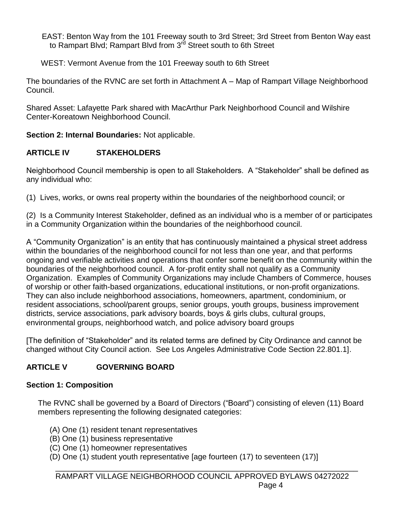EAST: Benton Way from the 101 Freeway south to 3rd Street; 3rd Street from Benton Way east to Rampart Blvd; Rampart Blvd from 3<sup>rd</sup> Street south to 6th Street

WEST: Vermont Avenue from the 101 Freeway south to 6th Street

The boundaries of the RVNC are set forth in Attachment A – Map of Rampart Village Neighborhood Council.

Shared Asset: Lafayette Park shared with MacArthur Park Neighborhood Council and Wilshire Center-Koreatown Neighborhood Council.

**Section 2: Internal Boundaries:** Not applicable.

# **ARTICLE IV STAKEHOLDERS**

Neighborhood Council membership is open to all Stakeholders. A "Stakeholder" shall be defined as any individual who:

(1) Lives, works, or owns real property within the boundaries of the neighborhood council; or

(2) Is a Community Interest Stakeholder, defined as an individual who is a member of or participates in a Community Organization within the boundaries of the neighborhood council.

A "Community Organization" is an entity that has continuously maintained a physical street address within the boundaries of the neighborhood council for not less than one year, and that performs ongoing and verifiable activities and operations that confer some benefit on the community within the boundaries of the neighborhood council. A for-profit entity shall not qualify as a Community Organization. Examples of Community Organizations may include Chambers of Commerce, houses of worship or other faith-based organizations, educational institutions, or non-profit organizations. They can also include neighborhood associations, homeowners, apartment, condominium, or resident associations, school/parent groups, senior groups, youth groups, business improvement districts, service associations, park advisory boards, boys & girls clubs, cultural groups, environmental groups, neighborhood watch, and police advisory board groups

[The definition of "Stakeholder" and its related terms are defined by City Ordinance and cannot be changed without City Council action. See Los Angeles Administrative Code Section 22.801.1].

# **ARTICLE V GOVERNING BOARD**

## **Section 1: Composition**

The RVNC shall be governed by a Board of Directors ("Board") consisting of eleven (11) Board members representing the following designated categories:

- (A) One (1) resident tenant representatives
- (B) One (1) business representative
- (C) One (1) homeowner representatives
- (D) One (1) student youth representative [age fourteen (17) to seventeen (17)]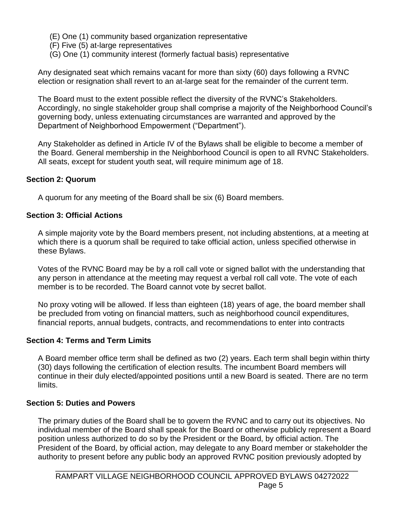- (E) One (1) community based organization representative
- (F) Five (5) at-large representatives
- (G) One (1) community interest (formerly factual basis) representative

Any designated seat which remains vacant for more than sixty (60) days following a RVNC election or resignation shall revert to an at-large seat for the remainder of the current term.

The Board must to the extent possible reflect the diversity of the RVNC's Stakeholders. Accordingly, no single stakeholder group shall comprise a majority of the Neighborhood Council's governing body, unless extenuating circumstances are warranted and approved by the Department of Neighborhood Empowerment ("Department").

Any Stakeholder as defined in Article IV of the Bylaws shall be eligible to become a member of the Board. General membership in the Neighborhood Council is open to all RVNC Stakeholders. All seats, except for student youth seat, will require minimum age of 18.

## **Section 2: Quorum**

A quorum for any meeting of the Board shall be six (6) Board members.

## **Section 3: Official Actions**

A simple majority vote by the Board members present, not including abstentions, at a meeting at which there is a quorum shall be required to take official action, unless specified otherwise in these Bylaws.

Votes of the RVNC Board may be by a roll call vote or signed ballot with the understanding that any person in attendance at the meeting may request a verbal roll call vote. The vote of each member is to be recorded. The Board cannot vote by secret ballot.

No proxy voting will be allowed. If less than eighteen (18) years of age, the board member shall be precluded from voting on financial matters, such as neighborhood council expenditures, financial reports, annual budgets, contracts, and recommendations to enter into contracts

## **Section 4: Terms and Term Limits**

A Board member office term shall be defined as two (2) years. Each term shall begin within thirty (30) days following the certification of election results. The incumbent Board members will continue in their duly elected/appointed positions until a new Board is seated. There are no term limits.

## **Section 5: Duties and Powers**

The primary duties of the Board shall be to govern the RVNC and to carry out its objectives. No individual member of the Board shall speak for the Board or otherwise publicly represent a Board position unless authorized to do so by the President or the Board, by official action. The President of the Board, by official action, may delegate to any Board member or stakeholder the authority to present before any public body an approved RVNC position previously adopted by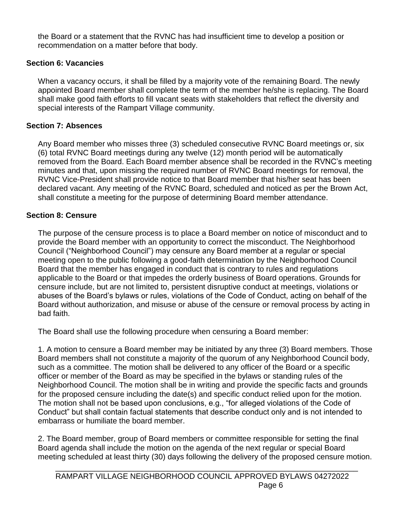the Board or a statement that the RVNC has had insufficient time to develop a position or recommendation on a matter before that body.

## **Section 6: Vacancies**

When a vacancy occurs, it shall be filled by a majority vote of the remaining Board. The newly appointed Board member shall complete the term of the member he/she is replacing. The Board shall make good faith efforts to fill vacant seats with stakeholders that reflect the diversity and special interests of the Rampart Village community.

## **Section 7: Absences**

Any Board member who misses three (3) scheduled consecutive RVNC Board meetings or, six (6) total RVNC Board meetings during any twelve (12) month period will be automatically removed from the Board. Each Board member absence shall be recorded in the RVNC's meeting minutes and that, upon missing the required number of RVNC Board meetings for removal, the RVNC Vice-President shall provide notice to that Board member that his/her seat has been declared vacant. Any meeting of the RVNC Board, scheduled and noticed as per the Brown Act, shall constitute a meeting for the purpose of determining Board member attendance.

## **Section 8: Censure**

The purpose of the censure process is to place a Board member on notice of misconduct and to provide the Board member with an opportunity to correct the misconduct. The Neighborhood Council ("Neighborhood Council") may censure any Board member at a regular or special meeting open to the public following a good-faith determination by the Neighborhood Council Board that the member has engaged in conduct that is contrary to rules and regulations applicable to the Board or that impedes the orderly business of Board operations. Grounds for censure include, but are not limited to, persistent disruptive conduct at meetings, violations or abuses of the Board's bylaws or rules, violations of the Code of Conduct, acting on behalf of the Board without authorization, and misuse or abuse of the censure or removal process by acting in bad faith.

The Board shall use the following procedure when censuring a Board member:

1. A motion to censure a Board member may be initiated by any three (3) Board members. Those Board members shall not constitute a majority of the quorum of any Neighborhood Council body, such as a committee. The motion shall be delivered to any officer of the Board or a specific officer or member of the Board as may be specified in the bylaws or standing rules of the Neighborhood Council. The motion shall be in writing and provide the specific facts and grounds for the proposed censure including the date(s) and specific conduct relied upon for the motion. The motion shall not be based upon conclusions, e.g., "for alleged violations of the Code of Conduct" but shall contain factual statements that describe conduct only and is not intended to embarrass or humiliate the board member.

2. The Board member, group of Board members or committee responsible for setting the final Board agenda shall include the motion on the agenda of the next regular or special Board meeting scheduled at least thirty (30) days following the delivery of the proposed censure motion.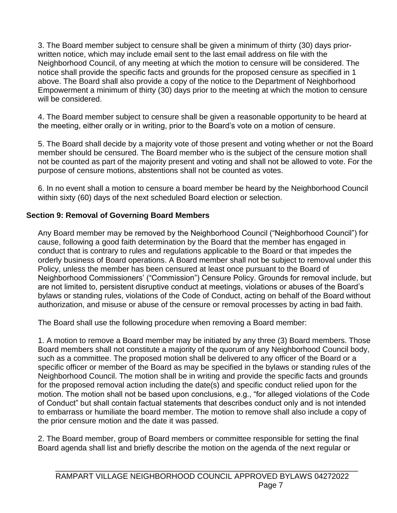3. The Board member subject to censure shall be given a minimum of thirty (30) days priorwritten notice, which may include email sent to the last email address on file with the Neighborhood Council, of any meeting at which the motion to censure will be considered. The notice shall provide the specific facts and grounds for the proposed censure as specified in 1 above. The Board shall also provide a copy of the notice to the Department of Neighborhood Empowerment a minimum of thirty (30) days prior to the meeting at which the motion to censure will be considered.

4. The Board member subject to censure shall be given a reasonable opportunity to be heard at the meeting, either orally or in writing, prior to the Board's vote on a motion of censure.

5. The Board shall decide by a majority vote of those present and voting whether or not the Board member should be censured. The Board member who is the subject of the censure motion shall not be counted as part of the majority present and voting and shall not be allowed to vote. For the purpose of censure motions, abstentions shall not be counted as votes.

6. In no event shall a motion to censure a board member be heard by the Neighborhood Council within sixty (60) days of the next scheduled Board election or selection.

## **Section 9: Removal of Governing Board Members**

Any Board member may be removed by the Neighborhood Council ("Neighborhood Council") for cause, following a good faith determination by the Board that the member has engaged in conduct that is contrary to rules and regulations applicable to the Board or that impedes the orderly business of Board operations. A Board member shall not be subject to removal under this Policy, unless the member has been censured at least once pursuant to the Board of Neighborhood Commissioners' ("Commission") Censure Policy. Grounds for removal include, but are not limited to, persistent disruptive conduct at meetings, violations or abuses of the Board's bylaws or standing rules, violations of the Code of Conduct, acting on behalf of the Board without authorization, and misuse or abuse of the censure or removal processes by acting in bad faith.

The Board shall use the following procedure when removing a Board member:

1. A motion to remove a Board member may be initiated by any three (3) Board members. Those Board members shall not constitute a majority of the quorum of any Neighborhood Council body, such as a committee. The proposed motion shall be delivered to any officer of the Board or a specific officer or member of the Board as may be specified in the bylaws or standing rules of the Neighborhood Council. The motion shall be in writing and provide the specific facts and grounds for the proposed removal action including the date(s) and specific conduct relied upon for the motion. The motion shall not be based upon conclusions, e.g., "for alleged violations of the Code of Conduct" but shall contain factual statements that describes conduct only and is not intended to embarrass or humiliate the board member. The motion to remove shall also include a copy of the prior censure motion and the date it was passed.

2. The Board member, group of Board members or committee responsible for setting the final Board agenda shall list and briefly describe the motion on the agenda of the next regular or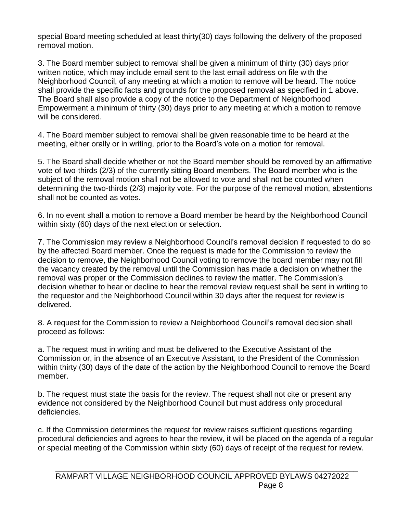special Board meeting scheduled at least thirty(30) days following the delivery of the proposed removal motion.

3. The Board member subject to removal shall be given a minimum of thirty (30) days prior written notice, which may include email sent to the last email address on file with the Neighborhood Council, of any meeting at which a motion to remove will be heard. The notice shall provide the specific facts and grounds for the proposed removal as specified in 1 above. The Board shall also provide a copy of the notice to the Department of Neighborhood Empowerment a minimum of thirty (30) days prior to any meeting at which a motion to remove will be considered.

4. The Board member subject to removal shall be given reasonable time to be heard at the meeting, either orally or in writing, prior to the Board's vote on a motion for removal.

5. The Board shall decide whether or not the Board member should be removed by an affirmative vote of two-thirds (2/3) of the currently sitting Board members. The Board member who is the subject of the removal motion shall not be allowed to vote and shall not be counted when determining the two-thirds (2/3) majority vote. For the purpose of the removal motion, abstentions shall not be counted as votes.

6. In no event shall a motion to remove a Board member be heard by the Neighborhood Council within sixty (60) days of the next election or selection.

7. The Commission may review a Neighborhood Council's removal decision if requested to do so by the affected Board member. Once the request is made for the Commission to review the decision to remove, the Neighborhood Council voting to remove the board member may not fill the vacancy created by the removal until the Commission has made a decision on whether the removal was proper or the Commission declines to review the matter. The Commission's decision whether to hear or decline to hear the removal review request shall be sent in writing to the requestor and the Neighborhood Council within 30 days after the request for review is delivered.

8. A request for the Commission to review a Neighborhood Council's removal decision shall proceed as follows:

a. The request must in writing and must be delivered to the Executive Assistant of the Commission or, in the absence of an Executive Assistant, to the President of the Commission within thirty (30) days of the date of the action by the Neighborhood Council to remove the Board member.

b. The request must state the basis for the review. The request shall not cite or present any evidence not considered by the Neighborhood Council but must address only procedural deficiencies.

c. If the Commission determines the request for review raises sufficient questions regarding procedural deficiencies and agrees to hear the review, it will be placed on the agenda of a regular or special meeting of the Commission within sixty (60) days of receipt of the request for review.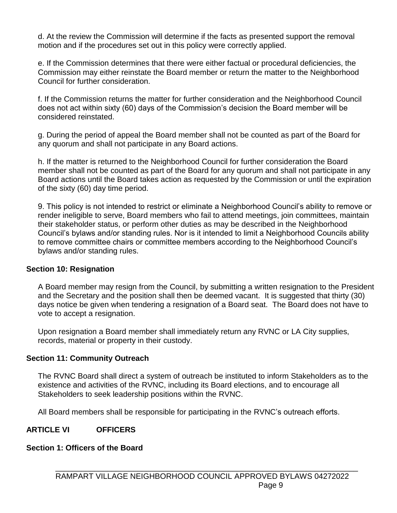d. At the review the Commission will determine if the facts as presented support the removal motion and if the procedures set out in this policy were correctly applied.

e. If the Commission determines that there were either factual or procedural deficiencies, the Commission may either reinstate the Board member or return the matter to the Neighborhood Council for further consideration.

f. If the Commission returns the matter for further consideration and the Neighborhood Council does not act within sixty (60) days of the Commission's decision the Board member will be considered reinstated.

g. During the period of appeal the Board member shall not be counted as part of the Board for any quorum and shall not participate in any Board actions.

h. If the matter is returned to the Neighborhood Council for further consideration the Board member shall not be counted as part of the Board for any quorum and shall not participate in any Board actions until the Board takes action as requested by the Commission or until the expiration of the sixty (60) day time period.

9. This policy is not intended to restrict or eliminate a Neighborhood Council's ability to remove or render ineligible to serve, Board members who fail to attend meetings, join committees, maintain their stakeholder status, or perform other duties as may be described in the Neighborhood Council's bylaws and/or standing rules. Nor is it intended to limit a Neighborhood Councils ability to remove committee chairs or committee members according to the Neighborhood Council's bylaws and/or standing rules.

## **Section 10: Resignation**

A Board member may resign from the Council, by submitting a written resignation to the President and the Secretary and the position shall then be deemed vacant. It is suggested that thirty (30) days notice be given when tendering a resignation of a Board seat. The Board does not have to vote to accept a resignation.

Upon resignation a Board member shall immediately return any RVNC or LA City supplies, records, material or property in their custody.

## **Section 11: Community Outreach**

The RVNC Board shall direct a system of outreach be instituted to inform Stakeholders as to the existence and activities of the RVNC, including its Board elections, and to encourage all Stakeholders to seek leadership positions within the RVNC.

All Board members shall be responsible for participating in the RVNC's outreach efforts.

## **ARTICLE VI OFFICERS**

## **Section 1: Officers of the Board**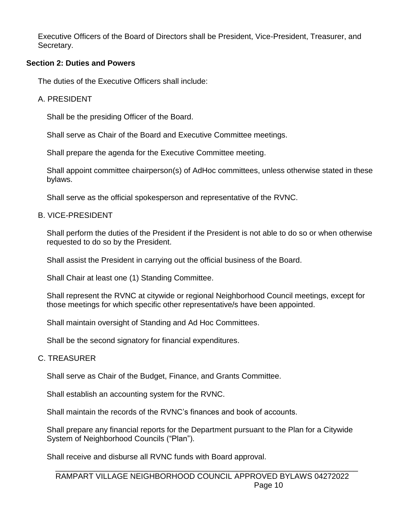Executive Officers of the Board of Directors shall be President, Vice-President, Treasurer, and Secretary.

#### **Section 2: Duties and Powers**

The duties of the Executive Officers shall include:

#### A. PRESIDENT

Shall be the presiding Officer of the Board.

Shall serve as Chair of the Board and Executive Committee meetings.

Shall prepare the agenda for the Executive Committee meeting.

Shall appoint committee chairperson(s) of AdHoc committees, unless otherwise stated in these bylaws.

Shall serve as the official spokesperson and representative of the RVNC.

#### B. VICE-PRESIDENT

Shall perform the duties of the President if the President is not able to do so or when otherwise requested to do so by the President.

Shall assist the President in carrying out the official business of the Board.

Shall Chair at least one (1) Standing Committee.

Shall represent the RVNC at citywide or regional Neighborhood Council meetings, except for those meetings for which specific other representative/s have been appointed.

Shall maintain oversight of Standing and Ad Hoc Committees.

Shall be the second signatory for financial expenditures.

## C. TREASURER

Shall serve as Chair of the Budget, Finance, and Grants Committee.

Shall establish an accounting system for the RVNC.

Shall maintain the records of the RVNC's finances and book of accounts.

Shall prepare any financial reports for the Department pursuant to the Plan for a Citywide System of Neighborhood Councils ("Plan").

Shall receive and disburse all RVNC funds with Board approval.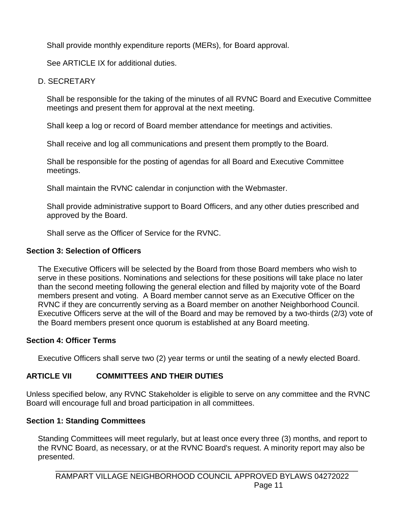Shall provide monthly expenditure reports (MERs), for Board approval.

See ARTICLE IX for additional duties.

D. SECRETARY

Shall be responsible for the taking of the minutes of all RVNC Board and Executive Committee meetings and present them for approval at the next meeting.

Shall keep a log or record of Board member attendance for meetings and activities.

Shall receive and log all communications and present them promptly to the Board.

Shall be responsible for the posting of agendas for all Board and Executive Committee meetings.

Shall maintain the RVNC calendar in conjunction with the Webmaster.

Shall provide administrative support to Board Officers, and any other duties prescribed and approved by the Board.

Shall serve as the Officer of Service for the RVNC.

## **Section 3: Selection of Officers**

The Executive Officers will be selected by the Board from those Board members who wish to serve in these positions. Nominations and selections for these positions will take place no later than the second meeting following the general election and filled by majority vote of the Board members present and voting. A Board member cannot serve as an Executive Officer on the RVNC if they are concurrently serving as a Board member on another Neighborhood Council. Executive Officers serve at the will of the Board and may be removed by a two-thirds (2/3) vote of the Board members present once quorum is established at any Board meeting.

## **Section 4: Officer Terms**

Executive Officers shall serve two (2) year terms or until the seating of a newly elected Board.

# **ARTICLE VII COMMITTEES AND THEIR DUTIES**

Unless specified below, any RVNC Stakeholder is eligible to serve on any committee and the RVNC Board will encourage full and broad participation in all committees.

# **Section 1: Standing Committees**

Standing Committees will meet regularly, but at least once every three (3) months, and report to the RVNC Board, as necessary, or at the RVNC Board's request. A minority report may also be presented.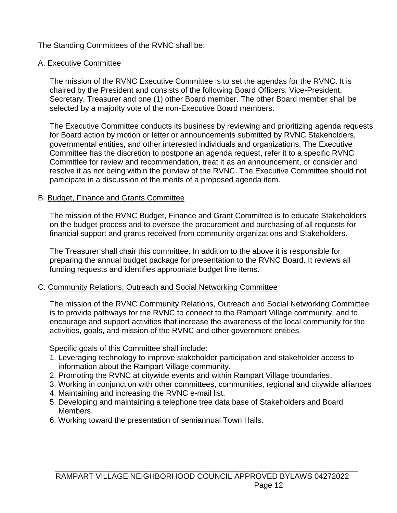The Standing Committees of the RVNC shall be:

## A. Executive Committee

The mission of the RVNC Executive Committee is to set the agendas for the RVNC. It is chaired by the President and consists of the following Board Officers: Vice-President, Secretary, Treasurer and one (1) other Board member. The other Board member shall be selected by a majority vote of the non-Executive Board members.

The Executive Committee conducts its business by reviewing and prioritizing agenda requests for Board action by motion or letter or announcements submitted by RVNC Stakeholders, governmental entities, and other interested individuals and organizations. The Executive Committee has the discretion to postpone an agenda request, refer it to a specific RVNC Committee for review and recommendation, treat it as an announcement, or consider and resolve it as not being within the purview of the RVNC. The Executive Committee should not participate in a discussion of the merits of a proposed agenda item.

## B. Budget, Finance and Grants Committee

The mission of the RVNC Budget, Finance and Grant Committee is to educate Stakeholders on the budget process and to oversee the procurement and purchasing of all requests for financial support and grants received from community organizations and Stakeholders.

The Treasurer shall chair this committee. In addition to the above it is responsible for preparing the annual budget package for presentation to the RVNC Board. It reviews all funding requests and identifies appropriate budget line items.

## C. Community Relations, Outreach and Social Networking Committee

The mission of the RVNC Community Relations, Outreach and Social Networking Committee is to provide pathways for the RVNC to connect to the Rampart Village community, and to encourage and support activities that increase the awareness of the local community for the activities, goals, and mission of the RVNC and other government entities.

Specific goals of this Committee shall include:

- 1. Leveraging technology to improve stakeholder participation and stakeholder access to information about the Rampart Village community.
- 2. Promoting the RVNC at citywide events and within Rampart Village boundaries.
- 3. Working in conjunction with other committees, communities, regional and citywide alliances
- 4. Maintaining and increasing the RVNC e-mail list.
- 5. Developing and maintaining a telephone tree data base of Stakeholders and Board Members.
- 6. Working toward the presentation of semiannual Town Halls.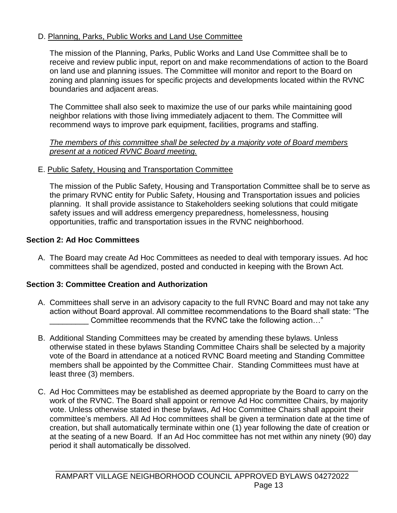## D. Planning, Parks, Public Works and Land Use Committee

The mission of the Planning, Parks, Public Works and Land Use Committee shall be to receive and review public input, report on and make recommendations of action to the Board on land use and planning issues. The Committee will monitor and report to the Board on zoning and planning issues for specific projects and developments located within the RVNC boundaries and adjacent areas.

The Committee shall also seek to maximize the use of our parks while maintaining good neighbor relations with those living immediately adjacent to them. The Committee will recommend ways to improve park equipment, facilities, programs and staffing.

*The members of this committee shall be selected by a majority vote of Board members present at a noticed RVNC Board meeting.*

E. Public Safety, Housing and Transportation Committee

The mission of the Public Safety, Housing and Transportation Committee shall be to serve as the primary RVNC entity for Public Safety, Housing and Transportation issues and policies planning. It shall provide assistance to Stakeholders seeking solutions that could mitigate safety issues and will address emergency preparedness, homelessness, housing opportunities, traffic and transportation issues in the RVNC neighborhood.

## **Section 2: Ad Hoc Committees**

A. The Board may create Ad Hoc Committees as needed to deal with temporary issues. Ad hoc committees shall be agendized, posted and conducted in keeping with the Brown Act.

## **Section 3: Committee Creation and Authorization**

- A. Committees shall serve in an advisory capacity to the full RVNC Board and may not take any action without Board approval. All committee recommendations to the Board shall state: "The Committee recommends that the RVNC take the following action..."
- B. Additional Standing Committees may be created by amending these bylaws. Unless otherwise stated in these bylaws Standing Committee Chairs shall be selected by a majority vote of the Board in attendance at a noticed RVNC Board meeting and Standing Committee members shall be appointed by the Committee Chair. Standing Committees must have at least three (3) members.
- C. Ad Hoc Committees may be established as deemed appropriate by the Board to carry on the work of the RVNC. The Board shall appoint or remove Ad Hoc committee Chairs, by majority vote. Unless otherwise stated in these bylaws, Ad Hoc Committee Chairs shall appoint their committee's members. All Ad Hoc committees shall be given a termination date at the time of creation, but shall automatically terminate within one (1) year following the date of creation or at the seating of a new Board. If an Ad Hoc committee has not met within any ninety (90) day period it shall automatically be dissolved.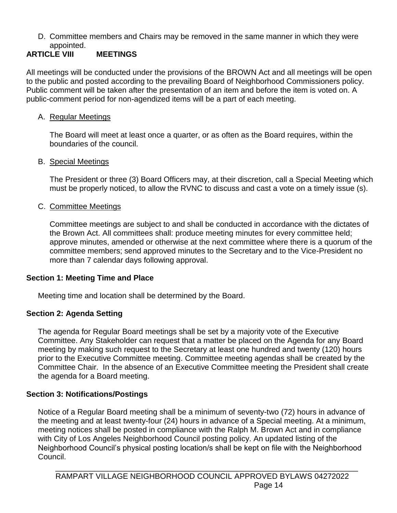D. Committee members and Chairs may be removed in the same manner in which they were appointed.

## **ARTICLE VIII MEETINGS**

All meetings will be conducted under the provisions of the BROWN Act and all meetings will be open to the public and posted according to the prevailing Board of Neighborhood Commissioners policy. Public comment will be taken after the presentation of an item and before the item is voted on. A public-comment period for non-agendized items will be a part of each meeting.

## A. Regular Meetings

The Board will meet at least once a quarter, or as often as the Board requires, within the boundaries of the council.

## B. Special Meetings

The President or three (3) Board Officers may, at their discretion, call a Special Meeting which must be properly noticed, to allow the RVNC to discuss and cast a vote on a timely issue (s).

## C. Committee Meetings

Committee meetings are subject to and shall be conducted in accordance with the dictates of the Brown Act. All committees shall: produce meeting minutes for every committee held; approve minutes, amended or otherwise at the next committee where there is a quorum of the committee members; send approved minutes to the Secretary and to the Vice-President no more than 7 calendar days following approval.

## **Section 1: Meeting Time and Place**

Meeting time and location shall be determined by the Board.

## **Section 2: Agenda Setting**

The agenda for Regular Board meetings shall be set by a majority vote of the Executive Committee. Any Stakeholder can request that a matter be placed on the Agenda for any Board meeting by making such request to the Secretary at least one hundred and twenty (120) hours prior to the Executive Committee meeting. Committee meeting agendas shall be created by the Committee Chair. In the absence of an Executive Committee meeting the President shall create the agenda for a Board meeting.

## **Section 3: Notifications/Postings**

Notice of a Regular Board meeting shall be a minimum of seventy-two (72) hours in advance of the meeting and at least twenty-four (24) hours in advance of a Special meeting. At a minimum, meeting notices shall be posted in compliance with the Ralph M. Brown Act and in compliance with City of Los Angeles Neighborhood Council posting policy. An updated listing of the Neighborhood Council's physical posting location/s shall be kept on file with the Neighborhood Council.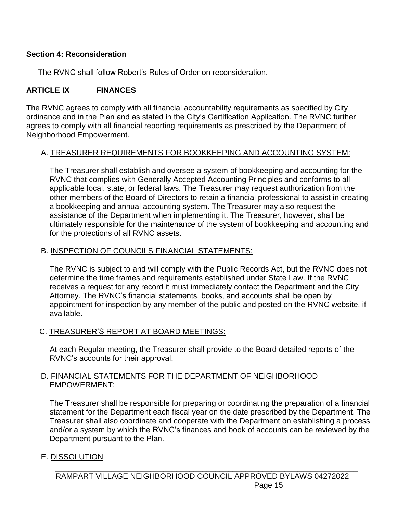#### **Section 4: Reconsideration**

The RVNC shall follow Robert's Rules of Order on reconsideration.

## **ARTICLE IX FINANCES**

The RVNC agrees to comply with all financial accountability requirements as specified by City ordinance and in the Plan and as stated in the City's Certification Application. The RVNC further agrees to comply with all financial reporting requirements as prescribed by the Department of Neighborhood Empowerment.

#### A. TREASURER REQUIREMENTS FOR BOOKKEEPING AND ACCOUNTING SYSTEM:

The Treasurer shall establish and oversee a system of bookkeeping and accounting for the RVNC that complies with Generally Accepted Accounting Principles and conforms to all applicable local, state, or federal laws. The Treasurer may request authorization from the other members of the Board of Directors to retain a financial professional to assist in creating a bookkeeping and annual accounting system. The Treasurer may also request the assistance of the Department when implementing it. The Treasurer, however, shall be ultimately responsible for the maintenance of the system of bookkeeping and accounting and for the protections of all RVNC assets.

#### B. INSPECTION OF COUNCILS FINANCIAL STATEMENTS:

The RVNC is subject to and will comply with the Public Records Act, but the RVNC does not determine the time frames and requirements established under State Law. If the RVNC receives a request for any record it must immediately contact the Department and the City Attorney. The RVNC's financial statements, books, and accounts shall be open by appointment for inspection by any member of the public and posted on the RVNC website, if available.

#### C. TREASURER'S REPORT AT BOARD MEETINGS:

At each Regular meeting, the Treasurer shall provide to the Board detailed reports of the RVNC's accounts for their approval.

#### D. FINANCIAL STATEMENTS FOR THE DEPARTMENT OF NEIGHBORHOOD EMPOWERMENT:

The Treasurer shall be responsible for preparing or coordinating the preparation of a financial statement for the Department each fiscal year on the date prescribed by the Department. The Treasurer shall also coordinate and cooperate with the Department on establishing a process and/or a system by which the RVNC's finances and book of accounts can be reviewed by the Department pursuant to the Plan.

#### E. DISSOLUTION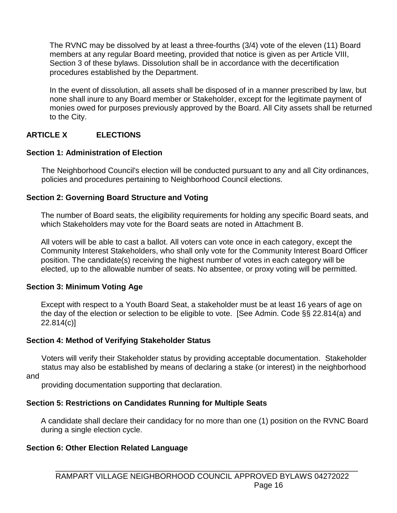The RVNC may be dissolved by at least a three-fourths (3/4) vote of the eleven (11) Board members at any regular Board meeting, provided that notice is given as per Article VIII, Section 3 of these bylaws. Dissolution shall be in accordance with the decertification procedures established by the Department.

In the event of dissolution, all assets shall be disposed of in a manner prescribed by law, but none shall inure to any Board member or Stakeholder, except for the legitimate payment of monies owed for purposes previously approved by the Board. All City assets shall be returned to the City.

## **ARTICLE X ELECTIONS**

## **Section 1: Administration of Election**

 The Neighborhood Council's election will be conducted pursuant to any and all City ordinances, policies and procedures pertaining to Neighborhood Council elections.

## **Section 2: Governing Board Structure and Voting**

The number of Board seats, the eligibility requirements for holding any specific Board seats, and which Stakeholders may vote for the Board seats are noted in Attachment B.

All voters will be able to cast a ballot. All voters can vote once in each category, except the Community Interest Stakeholders, who shall only vote for the Community Interest Board Officer position. The candidate(s) receiving the highest number of votes in each category will be elected, up to the allowable number of seats. No absentee, or proxy voting will be permitted.

## **Section 3: Minimum Voting Age**

Except with respect to a Youth Board Seat, a stakeholder must be at least 16 years of age on the day of the election or selection to be eligible to vote. [See Admin. Code §§ 22.814(a) and 22.814(c)]

## **Section 4: Method of Verifying Stakeholder Status**

 Voters will verify their Stakeholder status by providing acceptable documentation. Stakeholder status may also be established by means of declaring a stake (or interest) in the neighborhood

and

providing documentation supporting that declaration.

## **Section 5: Restrictions on Candidates Running for Multiple Seats**

A candidate shall declare their candidacy for no more than one (1) position on the RVNC Board during a single election cycle.

## **Section 6: Other Election Related Language**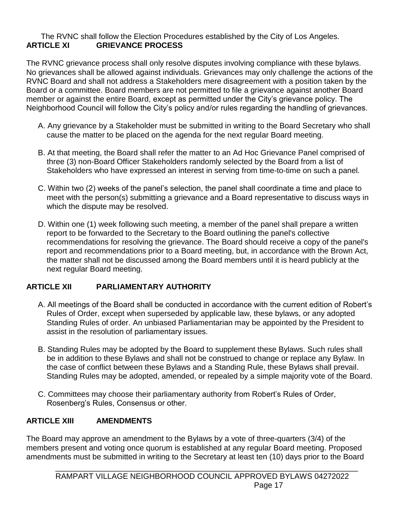## The RVNC shall follow the Election Procedures established by the City of Los Angeles. **ARTICLE XI GRIEVANCE PROCESS**

The RVNC grievance process shall only resolve disputes involving compliance with these bylaws. No grievances shall be allowed against individuals. Grievances may only challenge the actions of the RVNC Board and shall not address a Stakeholders mere disagreement with a position taken by the Board or a committee. Board members are not permitted to file a grievance against another Board member or against the entire Board, except as permitted under the City's grievance policy. The Neighborhood Council will follow the City's policy and/or rules regarding the handling of grievances.

- A. Any grievance by a Stakeholder must be submitted in writing to the Board Secretary who shall cause the matter to be placed on the agenda for the next regular Board meeting.
- B. At that meeting, the Board shall refer the matter to an Ad Hoc Grievance Panel comprised of three (3) non-Board Officer Stakeholders randomly selected by the Board from a list of Stakeholders who have expressed an interest in serving from time-to-time on such a panel.
- C. Within two (2) weeks of the panel's selection, the panel shall coordinate a time and place to meet with the person(s) submitting a grievance and a Board representative to discuss ways in which the dispute may be resolved.
- D. Within one (1) week following such meeting, a member of the panel shall prepare a written report to be forwarded to the Secretary to the Board outlining the panel's collective recommendations for resolving the grievance. The Board should receive a copy of the panel's report and recommendations prior to a Board meeting, but, in accordance with the Brown Act, the matter shall not be discussed among the Board members until it is heard publicly at the next regular Board meeting.

## **ARTICLE XII PARLIAMENTARY AUTHORITY**

- A. All meetings of the Board shall be conducted in accordance with the current edition of Robert's Rules of Order, except when superseded by applicable law, these bylaws, or any adopted Standing Rules of order. An unbiased Parliamentarian may be appointed by the President to assist in the resolution of parliamentary issues.
- B. Standing Rules may be adopted by the Board to supplement these Bylaws. Such rules shall be in addition to these Bylaws and shall not be construed to change or replace any Bylaw. In the case of conflict between these Bylaws and a Standing Rule, these Bylaws shall prevail. Standing Rules may be adopted, amended, or repealed by a simple majority vote of the Board.
- C. Committees may choose their parliamentary authority from Robert's Rules of Order, Rosenberg's Rules, Consensus or other.

# **ARTICLE XIII AMENDMENTS**

The Board may approve an amendment to the Bylaws by a vote of three-quarters (3/4) of the members present and voting once quorum is established at any regular Board meeting. Proposed amendments must be submitted in writing to the Secretary at least ten (10) days prior to the Board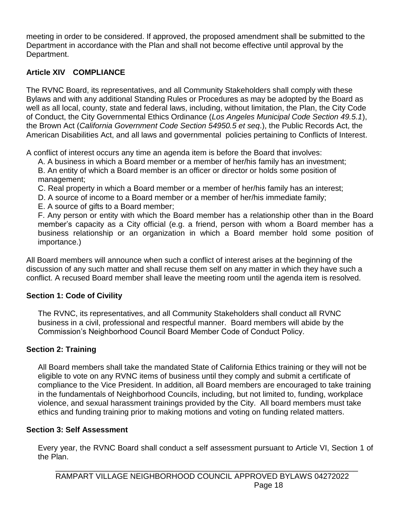meeting in order to be considered. If approved, the proposed amendment shall be submitted to the Department in accordance with the Plan and shall not become effective until approval by the Department.

## **Article XIV COMPLIANCE**

The RVNC Board, its representatives, and all Community Stakeholders shall comply with these Bylaws and with any additional Standing Rules or Procedures as may be adopted by the Board as well as all local, county, state and federal laws, including, without limitation, the Plan, the City Code of Conduct, the City Governmental Ethics Ordinance (*Los Angeles Municipal Code Section 49.5.1*), the Brown Act (*California Government Code Section 54950.5 et seq*.), the Public Records Act, the American Disabilities Act, and all laws and governmental policies pertaining to Conflicts of Interest.

A conflict of interest occurs any time an agenda item is before the Board that involves:

A. A business in which a Board member or a member of her/his family has an investment; B. An entity of which a Board member is an officer or director or holds some position of management;

C. Real property in which a Board member or a member of her/his family has an interest;

D. A source of income to a Board member or a member of her/his immediate family;

E. A source of gifts to a Board member;

F. Any person or entity with which the Board member has a relationship other than in the Board member's capacity as a City official (e.g. a friend, person with whom a Board member has a business relationship or an organization in which a Board member hold some position of importance.)

All Board members will announce when such a conflict of interest arises at the beginning of the discussion of any such matter and shall recuse them self on any matter in which they have such a conflict. A recused Board member shall leave the meeting room until the agenda item is resolved.

## **Section 1: Code of Civility**

The RVNC, its representatives, and all Community Stakeholders shall conduct all RVNC business in a civil, professional and respectful manner. Board members will abide by the Commission's Neighborhood Council Board Member Code of Conduct Policy.

## **Section 2: Training**

All Board members shall take the mandated State of California Ethics training or they will not be eligible to vote on any RVNC items of business until they comply and submit a certificate of compliance to the Vice President. In addition, all Board members are encouraged to take training in the fundamentals of Neighborhood Councils, including, but not limited to, funding, workplace violence, and sexual harassment trainings provided by the City. All board members must take ethics and funding training prior to making motions and voting on funding related matters.

## **Section 3: Self Assessment**

Every year, the RVNC Board shall conduct a self assessment pursuant to Article VI, Section 1 of the Plan.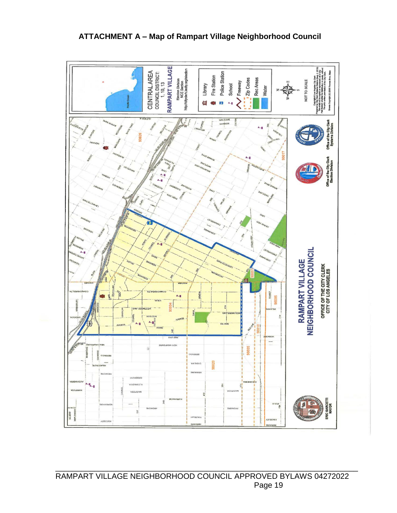